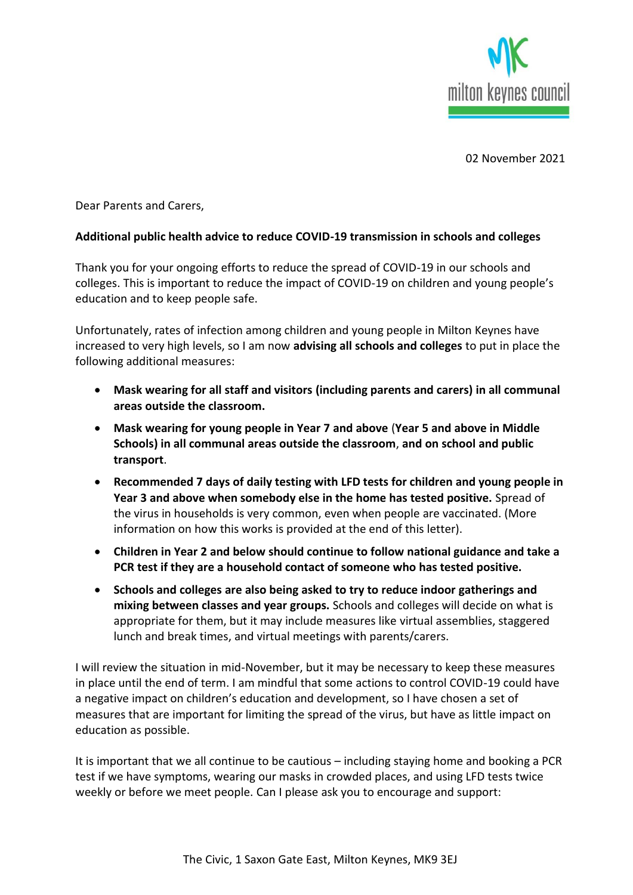

02 November 2021

Dear Parents and Carers,

## **Additional public health advice to reduce COVID-19 transmission in schools and colleges**

Thank you for your ongoing efforts to reduce the spread of COVID-19 in our schools and colleges. This is important to reduce the impact of COVID-19 on children and young people's education and to keep people safe.

Unfortunately, rates of infection among children and young people in Milton Keynes have increased to very high levels, so I am now **advising all schools and colleges** to put in place the following additional measures:

- **Mask wearing for all staff and visitors (including parents and carers) in all communal areas outside the classroom.**
- **Mask wearing for young people in Year 7 and above** (**Year 5 and above in Middle Schools) in all communal areas outside the classroom**, **and on school and public transport**.
- **Recommended 7 days of daily testing with LFD tests for children and young people in Year 3 and above when somebody else in the home has tested positive.** Spread of the virus in households is very common, even when people are vaccinated. (More information on how this works is provided at the end of this letter).
- **Children in Year 2 and below should continue to follow national guidance and take a PCR test if they are a household contact of someone who has tested positive.**
- **Schools and colleges are also being asked to try to reduce indoor gatherings and mixing between classes and year groups.** Schools and colleges will decide on what is appropriate for them, but it may include measures like virtual assemblies, staggered lunch and break times, and virtual meetings with parents/carers.

I will review the situation in mid-November, but it may be necessary to keep these measures in place until the end of term. I am mindful that some actions to control COVID-19 could have a negative impact on children's education and development, so I have chosen a set of measures that are important for limiting the spread of the virus, but have as little impact on education as possible.

It is important that we all continue to be cautious – including staying home and booking a PCR test if we have symptoms, wearing our masks in crowded places, and using LFD tests twice weekly or before we meet people. Can I please ask you to encourage and support: